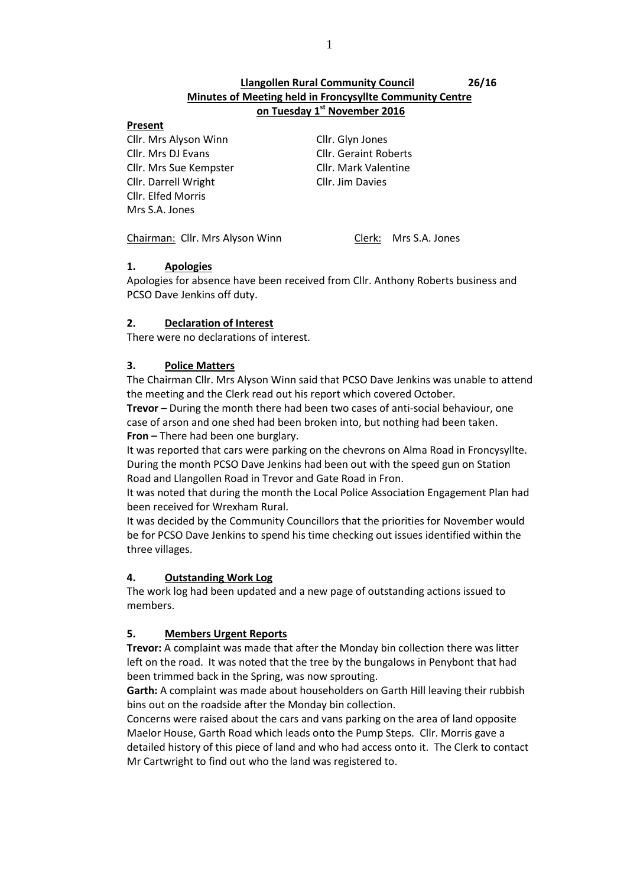# **Llangollen Rural Community Council 26/16 Minutes of Meeting held in Froncysyllte Community Centre on Tuesday 1 st November 2016**

#### **Present**

Cllr. Mrs Alyson Winn Cllr. Glyn Jones Cllr. Mrs DJ Evans Cllr. Geraint Roberts Cllr. Mrs Sue Kempster Cllr. Mark Valentine Cllr. Darrell Wright Cllr. Jim Davies Cllr. Elfed Morris Mrs S.A. Jones

Chairman: Cllr. Mrs Alyson Winn Clerk: Mrs S.A. Jones

## **1. Apologies**

Apologies for absence have been received from Cllr. Anthony Roberts business and PCSO Dave Jenkins off duty.

## **2. Declaration of Interest**

There were no declarations of interest.

## **3. Police Matters**

The Chairman Cllr. Mrs Alyson Winn said that PCSO Dave Jenkins was unable to attend the meeting and the Clerk read out his report which covered October.

**Trevor** – During the month there had been two cases of anti-social behaviour, one case of arson and one shed had been broken into, but nothing had been taken. **Fron –** There had been one burglary.

It was reported that cars were parking on the chevrons on Alma Road in Froncysyllte. During the month PCSO Dave Jenkins had been out with the speed gun on Station Road and Llangollen Road in Trevor and Gate Road in Fron.

It was noted that during the month the Local Police Association Engagement Plan had been received for Wrexham Rural.

It was decided by the Community Councillors that the priorities for November would be for PCSO Dave Jenkins to spend his time checking out issues identified within the three villages.

## **4. Outstanding Work Log**

The work log had been updated and a new page of outstanding actions issued to members.

# **5. Members Urgent Reports**

**Trevor:** A complaint was made that after the Monday bin collection there was litter left on the road. It was noted that the tree by the bungalows in Penybont that had been trimmed back in the Spring, was now sprouting.

**Garth:** A complaint was made about householders on Garth Hill leaving their rubbish bins out on the roadside after the Monday bin collection.

Concerns were raised about the cars and vans parking on the area of land opposite Maelor House, Garth Road which leads onto the Pump Steps. Cllr. Morris gave a detailed history of this piece of land and who had access onto it. The Clerk to contact Mr Cartwright to find out who the land was registered to.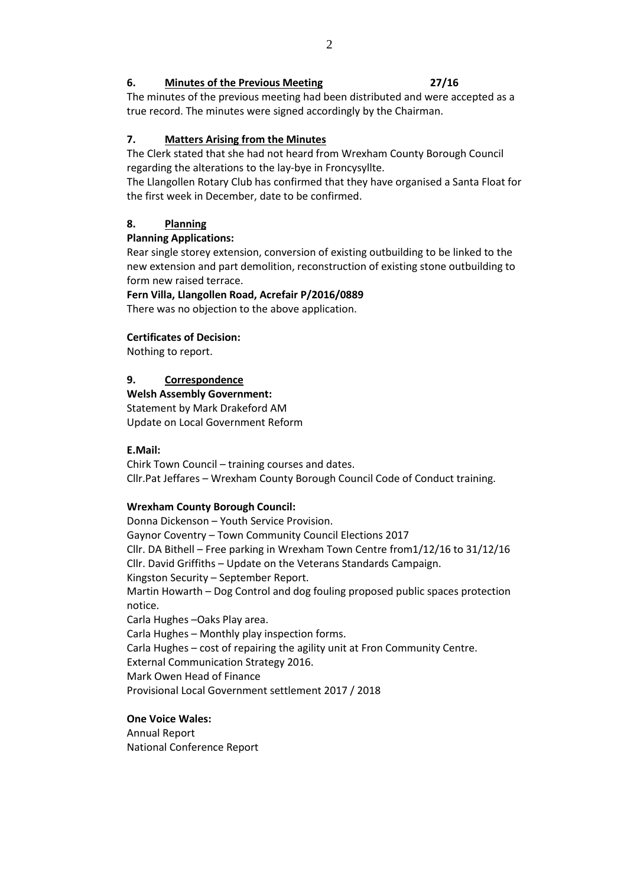#### **6. Minutes of the Previous Meeting 27/16**

The minutes of the previous meeting had been distributed and were accepted as a true record. The minutes were signed accordingly by the Chairman.

# **7. Matters Arising from the Minutes**

The Clerk stated that she had not heard from Wrexham County Borough Council regarding the alterations to the lay-bye in Froncysyllte.

The Llangollen Rotary Club has confirmed that they have organised a Santa Float for the first week in December, date to be confirmed.

## **8. Planning**

## **Planning Applications:**

Rear single storey extension, conversion of existing outbuilding to be linked to the new extension and part demolition, reconstruction of existing stone outbuilding to form new raised terrace.

## **Fern Villa, Llangollen Road, Acrefair P/2016/0889**

There was no objection to the above application.

## **Certificates of Decision:**

Nothing to report.

## **9. Correspondence**

# **Welsh Assembly Government:**

Statement by Mark Drakeford AM Update on Local Government Reform

## **E.Mail:**

Chirk Town Council – training courses and dates. Cllr.Pat Jeffares – Wrexham County Borough Council Code of Conduct training.

## **Wrexham County Borough Council:**

Donna Dickenson – Youth Service Provision. Gaynor Coventry – Town Community Council Elections 2017 Cllr. DA Bithell – Free parking in Wrexham Town Centre from1/12/16 to 31/12/16 Cllr. David Griffiths – Update on the Veterans Standards Campaign. Kingston Security – September Report. Martin Howarth – Dog Control and dog fouling proposed public spaces protection notice. Carla Hughes –Oaks Play area. Carla Hughes – Monthly play inspection forms. Carla Hughes – cost of repairing the agility unit at Fron Community Centre. External Communication Strategy 2016. Mark Owen Head of Finance Provisional Local Government settlement 2017 / 2018

# **One Voice Wales:**

Annual Report National Conference Report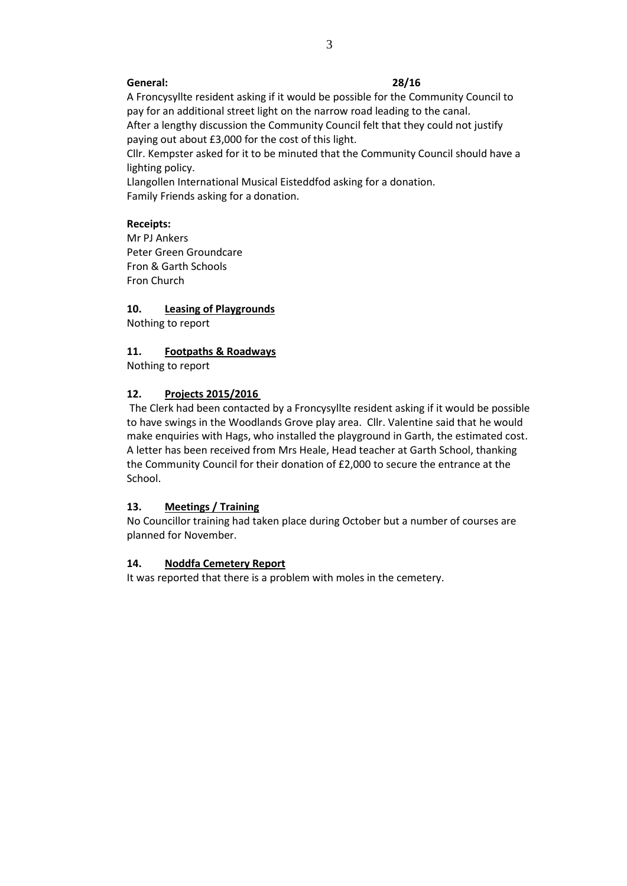#### **General: 28/16**

A Froncysyllte resident asking if it would be possible for the Community Council to pay for an additional street light on the narrow road leading to the canal. After a lengthy discussion the Community Council felt that they could not justify paying out about £3,000 for the cost of this light.

Cllr. Kempster asked for it to be minuted that the Community Council should have a lighting policy.

Llangollen International Musical Eisteddfod asking for a donation. Family Friends asking for a donation.

## **Receipts:**

Mr PJ Ankers Peter Green Groundcare Fron & Garth Schools Fron Church

## **10. Leasing of Playgrounds**

Nothing to report

## **11. Footpaths & Roadways**

Nothing to report

## **12. Projects 2015/2016**

The Clerk had been contacted by a Froncysyllte resident asking if it would be possible to have swings in the Woodlands Grove play area. Cllr. Valentine said that he would make enquiries with Hags, who installed the playground in Garth, the estimated cost. A letter has been received from Mrs Heale, Head teacher at Garth School, thanking the Community Council for their donation of £2,000 to secure the entrance at the School.

## **13. Meetings / Training**

No Councillor training had taken place during October but a number of courses are planned for November.

## **14. Noddfa Cemetery Report**

It was reported that there is a problem with moles in the cemetery.